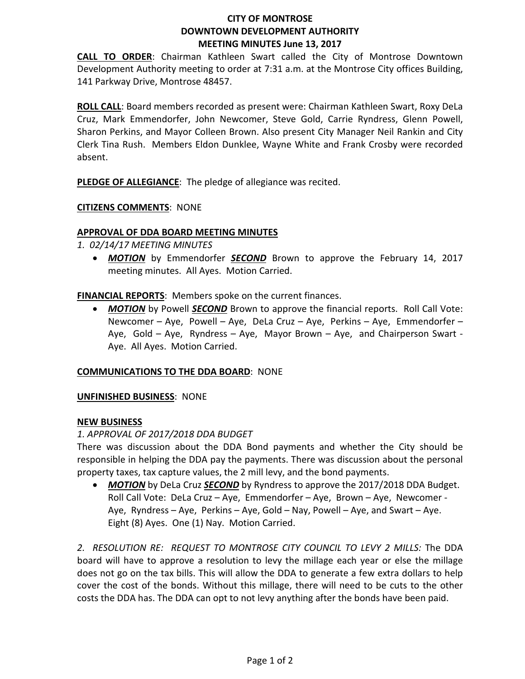## **CITY OF MONTROSE DOWNTOWN DEVELOPMENT AUTHORITY MEETING MINUTES June 13, 2017**

**CALL TO ORDER**: Chairman Kathleen Swart called the City of Montrose Downtown Development Authority meeting to order at 7:31 a.m. at the Montrose City offices Building, 141 Parkway Drive, Montrose 48457.

**ROLL CALL**: Board members recorded as present were: Chairman Kathleen Swart, Roxy DeLa Cruz, Mark Emmendorfer, John Newcomer, Steve Gold, Carrie Ryndress, Glenn Powell, Sharon Perkins, and Mayor Colleen Brown. Also present City Manager Neil Rankin and City Clerk Tina Rush. Members Eldon Dunklee, Wayne White and Frank Crosby were recorded absent.

**PLEDGE OF ALLEGIANCE**: The pledge of allegiance was recited.

## **CITIZENS COMMENTS**: NONE

## **APPROVAL OF DDA BOARD MEETING MINUTES**

*1. 02/14/17 MEETING MINUTES*

• *MOTION* by Emmendorfer *SECOND* Brown to approve the February 14, 2017 meeting minutes. All Ayes. Motion Carried.

**FINANCIAL REPORTS**: Members spoke on the current finances.

• *MOTION* by Powell *SECOND* Brown to approve the financial reports. Roll Call Vote: Newcomer – Aye, Powell – Aye, DeLa Cruz – Aye, Perkins – Aye, Emmendorfer – Aye, Gold – Aye, Ryndress – Aye, Mayor Brown – Aye, and Chairperson Swart - Aye. All Ayes. Motion Carried.

#### **COMMUNICATIONS TO THE DDA BOARD**: NONE

#### **UNFINISHED BUSINESS**: NONE

#### **NEW BUSINESS**

#### *1. APPROVAL OF 2017/2018 DDA BUDGET*

There was discussion about the DDA Bond payments and whether the City should be responsible in helping the DDA pay the payments. There was discussion about the personal property taxes, tax capture values, the 2 mill levy, and the bond payments.

• **MOTION** by DeLa Cruz **SECOND** by Ryndress to approve the 2017/2018 DDA Budget. Roll Call Vote: DeLa Cruz – Aye, Emmendorfer – Aye, Brown – Aye, Newcomer - Aye, Ryndress – Aye, Perkins – Aye, Gold – Nay, Powell – Aye, and Swart – Aye. Eight (8) Ayes. One (1) Nay. Motion Carried.

*2. RESOLUTION RE: REQUEST TO MONTROSE CITY COUNCIL TO LEVY 2 MILLS:* The DDA board will have to approve a resolution to levy the millage each year or else the millage does not go on the tax bills. This will allow the DDA to generate a few extra dollars to help cover the cost of the bonds. Without this millage, there will need to be cuts to the other costs the DDA has. The DDA can opt to not levy anything after the bonds have been paid.